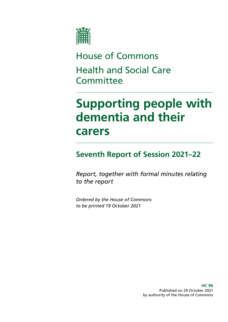

# House of Commons Health and Social Care **Committee**

# **Supporting people with dementia and their carers**

# **Seventh Report of Session 2021–22**

*Report, together with formal minutes relating to the report*

*Ordered by the House of Commons to be printed 19 October 2021*

> **HC 96** Published on 29 October 2021 by authority of the House of Commons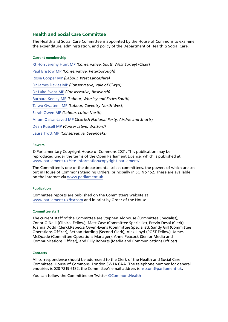### **Health and Social Care Committee**

The Health and Social Care Committee is appointed by the House of Commons to examine the expenditure, administration, and policy of the Department of Health & Social Care.

#### **Current membership**

[Rt Hon Jeremy Hunt MP](https://members.parliament.uk/member/1572/contact) *(Conservative, South West Surrey)* (Chair) [Paul Bristow MP](https://members.parliament.uk/member/4792/contact) *(Conservative, Peterborough)* [Rosie Cooper MP](https://members.parliament.uk/member/1538/contact) *(Labour, West Lancashire)* [Dr James Davies MP](https://members.parliament.uk/member/4476/contact) *(Conservative, Vale of Clwyd)* [Dr Luke Evans MP](https://members.parliament.uk/member/4781/contact) *(Conservative, Bosworth)* [Barbara Keeley MP](https://members.parliament.uk/member/1588/contact) *(Labour, Worsley and Eccles South)* [Taiwo Owatemi MP](https://members.parliament.uk/member/4779/contact) *(Labour, Coventry North West)* [Sarah Owen MP](https://members.parliament.uk/member/4777/contact) *(Labour, Luton North)* [Anum Qaisar-Javed MP](https://members.parliament.uk/member/4917/contact) (*Scottish National Party, Airdrie and Shotts*) [Dean Russell MP](https://members.parliament.uk/member/4812/contact) *(Conservative, Watford)* [Laura Trott MP](https://members.parliament.uk/member/4780/contact) *(Conservative, Sevenoaks)*

#### **Powers**

© Parliamentary Copyright House of Commons 2021. This publication may be reproduced under the terms of the Open Parliament Licence, which is published at [www.parliament.uk/site-information/copyright-parliament/](https://www.parliament.uk/site-information/copyright-parliament/).

The Committee is one of the departmental select committees, the powers of which are set out in House of Commons Standing Orders, principally in SO No 152. These are available on the internet via [www.parliament.uk.](http://www.parliament.uk/)

#### **Publication**

Committee reports are published on the Committee's website at [www.parliament.uk/hsccom](http://www.parliament.uk/hsccom) and in print by Order of the House.

#### **Committee staff**

The current staff of the Committee are Stephen Aldhouse (Committee Specialist), Conor O'Neill (Clinical Fellow), Matt Case (Committee Specialist), Previn Desai (Clerk), Joanna Dodd (Clerk),Rebecca Owen-Evans (Committee Specialist), Sandy Gill (Committee Operations Officer), Bethan Harding (Second Clerk), Alex Lloyd (POST Fellow), James McQuade (Committee Operations Manager), Anne Peacock (Senior Media and Communications Officer), and Billy Roberts (Media and Communications Officer).

#### **Contacts**

All correspondence should be addressed to the Clerk of the Health and Social Care Committee, House of Commons, London SW1A 0AA. The telephone number for general enquiries is 020 7219 6182; the Committee's email address is [hsccom@parliament.uk](mailto:hsccom%40parliament.uk?subject=).

You can follow the Committee on Twitter [@CommonsHealth](https://twitter.com/CommonsHealth)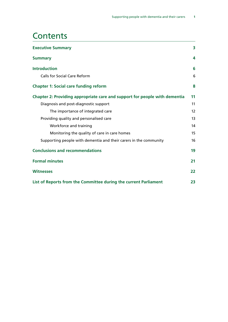### **Contents**

| <b>Executive Summary</b>                                                   | 3  |
|----------------------------------------------------------------------------|----|
| <b>Summary</b>                                                             | 4  |
| <b>Introduction</b>                                                        | 6  |
| <b>Calls for Social Care Reform</b>                                        | 6  |
| <b>Chapter 1: Social care funding reform</b>                               | 8  |
| Chapter 2: Providing appropriate care and support for people with dementia | 11 |
| Diagnosis and post-diagnostic support                                      | 11 |
| The importance of integrated care                                          | 12 |
| Providing quality and personalised care                                    | 13 |
| Workforce and training                                                     | 14 |
| Monitoring the quality of care in care homes                               | 15 |
| Supporting people with dementia and their carers in the community          | 16 |
| <b>Conclusions and recommendations</b>                                     | 19 |
| <b>Formal minutes</b>                                                      | 21 |
| <b>Witnesses</b>                                                           | 22 |
| List of Reports from the Committee during the current Parliament           | 23 |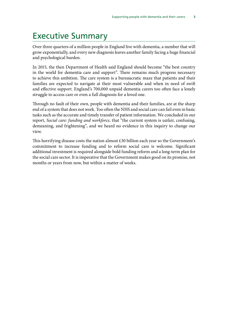## <span id="page-4-0"></span>Executive Summary

Over three quarters of a million people in England live with dementia, a number that will grow exponentially, and every new diagnosis leaves another family facing a huge financial and psychological burden.

In 2015, the then Department of Health said England should become "the best country in the world for dementia care and support". There remains much progress necessary to achieve this ambition. The care system is a bureaucratic maze that patients and their families are expected to navigate at their most vulnerable and when in need of swift and effective support. England's 700,000 unpaid dementia carers too often face a lonely struggle to access care or even a full diagnosis for a loved one.

Through no fault of their own, people with dementia and their families, are at the sharp end of a system that does not work. Too often the NHS and social care can fail even in basic tasks such as the accurate and timely transfer of patient information. We concluded in our report, *Social care: funding and workforce*, that "the current system is unfair, confusing, demeaning, and frightening", and we heard no evidence in this inquiry to change our view.

This horrifying disease costs the nation almost £30 billion each year so the Government's commitment to increase funding and to reform social care is welcome. Significant additional investment is required alongside bold funding reform and a long-term plan for the social care sector. It is imperative that the Government makes good on its promise, not months or years from now, but within a matter of weeks.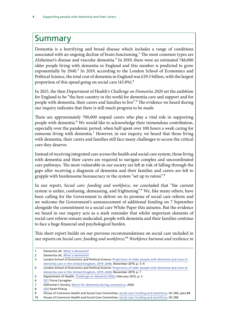### <span id="page-5-0"></span>Summary

Dementia is a horrifying and broad disease which includes a range of conditions associated with an ongoing decline of brain functioning.<sup>1</sup> The most common types are Alzheimer's disease and vascular dementia.<sup>2</sup> In 2019, there were an estimated 748,000 older people living with dementia in England and this number is predicted to grow exponentially by 2040.<sup>3</sup> In 2019, according to the London School of Economics and Political Science, the total cost of dementia in England was £29.5 billion, with the largest proportion of this spend going on social care (45.8%).4

In 2015, the then Department of Health's *Challenge on Dementia 2020* set the ambition for England to be "the best country in the world for dementia care and support and for people with dementia, their carers and families to live".<sup>5</sup> The evidence we heard during our inquiry indicates that there is still much progress to be made.

There are approximately 700,000 unpaid carers who play a vital role in supporting people with dementia.<sup>6</sup> We would like to acknowledge their tremendous contribution, especially over the pandemic period, when half spent over 100 hours a week caring for someone living with dementia.<sup>7</sup> However, in our inquiry, we heard that those living with dementia, their carers and families still face many challenges to access the critical care they deserve.

Instead of receiving integrated care across the health and social care system, those living with dementia and their carers are required to navigate complex and uncoordinated care pathways. The most vulnerable in our society are left at risk of falling through the gaps after receiving a diagnosis of dementia and their families and carers are left to grapple with burdensome bureaucracy in the system "set up to ration".<sup>8</sup>

In our report, *Social care: funding and workforce*, we concluded that "the current system is unfair, confusing, demeaning, and frightening".<sup>9</sup> We, like many others, have been calling for the Government to deliver on its promise of social care reform and we welcome the Government's announcement of additional funding on 7 September alongside the commitment to a social care White Paper this autumn. But the evidence we heard in our inquiry acts as a stark reminder that whilst important elements of social care reform remain undecided, people with dementia and their families continue to face a huge financial and psychological burden.

This short report builds on our previous recommendations on social care included in our reports on *Social care: funding and workforce*;10 *Workforce burnout and resilience in* 

<sup>1</sup> Dementia UK, [What is dementia?](https://www.dementiauk.org/get-support/diagnosis-and-next-steps/what-is-dementia/)

<sup>2</sup> Dementia UK, [What is dementia?](https://www.dementiauk.org/get-support/diagnosis-and-next-steps/what-is-dementia/)

<sup>3</sup> London School of Economics and Political Science: [Projections of older people with dementia and costs of](https://www.alzheimers.org.uk/sites/default/files/2019-11/cpec_report_november_2019.pdf)  [dementia care in the United Kingdom, 2019–2040,](https://www.alzheimers.org.uk/sites/default/files/2019-11/cpec_report_november_2019.pdf) November 2019, p. 3–4

<sup>4</sup> London School of Economics and Political Science: [Projections of older people with dementia and costs of](https://www.alzheimers.org.uk/sites/default/files/2019-11/cpec_report_november_2019.pdf)  [dementia care in the United Kingdom, 2019–2040,](https://www.alzheimers.org.uk/sites/default/files/2019-11/cpec_report_november_2019.pdf) November 2019, p. 7

<sup>5</sup> Department of Health, [Challenge on dementia 2020](https://assets.publishing.service.gov.uk/government/uploads/system/uploads/attachment_data/file/414344/pm-dementia2020.pdf), February 2015, p. 3

<sup>6</sup> [Q21](https://committees.parliament.uk/oralevidence/2189/html/) Fiona Carragher

<sup>7</sup> Alzheimer's Society, [Worst hit: dementia during coronavirus](https://www.alzheimers.org.uk/news/2020-10-05/exhausted-family-and-friends-spent-92-million-extra-hours-caring-loved-ones.). 2020

<sup>8</sup> [Q20](https://committees.parliament.uk/oralevidence/2189/html/) Sarah Pickup

<sup>9</sup> House of Commons Health and Social Care Committee, [Social care: funding and workforce,](https://committees.parliament.uk/publications/3120/documents/29193/default/) HC 206, para 89

<sup>10</sup> House of Commons Health and Social Care Committee, [Social care: funding and workforce,](https://committees.parliament.uk/publications/3120/documents/29193/default/) HC 206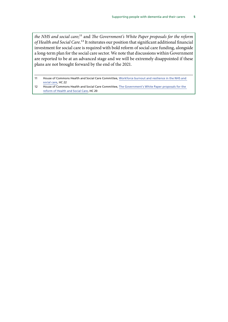*the NHS and social care*;<sup>11</sup> and *The Government's White Paper proposals for the reform of Health and Social Care*.12 It reiterates our position that significant additional financial investment for social care is required with bold reform of social care funding, alongside a long-term plan for the social care sector. We note that discussions within Government are reported to be at an advanced stage and we will be extremely disappointed if these plans are not brought forward by the end of the 2021.

<sup>11</sup> House of Commons Health and Social Care Committee, [Workforce burnout and resilience in the NHS and](https://committees.parliament.uk/publications/6158/documents/68766/default/)  [social care,](https://committees.parliament.uk/publications/6158/documents/68766/default/) HC 22

<sup>12</sup> House of Commons Health and Social Care Committee, The Government's White Paper proposals for the [reform of Health and Social Care,](https://committees.parliament.uk/publications/6158/documents/68766/default/) HC 20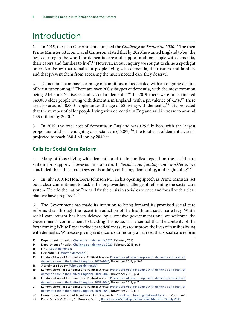# <span id="page-7-0"></span>Introduction

1. In 2015, the then Government launched the *Challenge on Dementia 2020*.13 The then Prime Minister, Rt Hon. David Cameron, stated that by 2020 he wanted England to be "the best country in the world for dementia care and support and for people with dementia, their carers and families to live".<sup>14</sup> However, in our inquiry we sought to shine a spotlight on critical issues that remain for people living with dementia, their carers and families and that prevent them from accessing the much needed care they deserve.

2. Dementia encompasses a range of conditions all associated with an ongoing decline of brain functioning.15 There are over 200 subtypes of dementia, with the most common being Alzheimer's disease and vascular dementia.<sup>16</sup> In 2019 there were an estimated 748,000 older people living with dementia in England, with a prevalence of 7.2%.<sup>17</sup> There are also around 40,000 people under the age of 65 living with dementia.18 It is projected that the number of older people living with dementia in England will increase to around 1.35 million by 2040.19

3. In 2019, the total cost of dementia in England was £29.5 billion, with the largest proportion of this spend going on social care  $(45.8\%)$ .<sup>20</sup> The total cost of dementia care is projected to reach £80.4 billion by 2040.<sup>21</sup>

### **Calls for Social Care Reform**

4. Many of those living with dementia and their families depend on the social care system for support. However, in our report, *Social care: funding and workforce*, we concluded that "the current system is unfair, confusing, demeaning, and frightening".<sup>22</sup>

5. In July 2019, Rt Hon. Boris Johnson MP, in his opening speech as Prime Minister, set out a clear commitment to tackle the long overdue challenge of reforming the social care system. He told the nation "we will fix the crisis in social care once and for all with a clear plan we have prepared".<sup>23</sup>

6. The Government has made its intention to bring forward its promised social care reforms clear through the recent introduction of the health and social care levy. While social care reform has been delayed by successive governments and we welcome the Government's commitment to tackling this issue, it is essential that the contents of the forthcoming White Paper include practical measures to improve the lives of families living with dementia. Witnesses giving evidence to our inquiry all agreed that social care reform

18 Alzheimer's Society, [Who gets dementia?](https://www.alzheimers.org.uk/about-dementia/types-dementia/who-gets-dementia)

<sup>13</sup> Department of Health, [Challenge on dementia 2020](https://assets.publishing.service.gov.uk/government/uploads/system/uploads/attachment_data/file/414344/pm-dementia2020.pdf), February 2015

<sup>14</sup> Department of Health, [Challenge on dementia 2020](https://assets.publishing.service.gov.uk/government/uploads/system/uploads/attachment_data/file/414344/pm-dementia2020.pdf), February 2015, p. 3

<sup>15</sup> NHS, [About dementia;](https://www.nhs.uk/conditions/dementia/about/)

<sup>16</sup> Dementia UK, [What is dementia?](https://www.dementiauk.org/get-support/diagnosis-and-next-steps/what-is-dementia/)

<sup>17</sup> London School of Economics and Political Science: [Projections of older people with dementia and costs of](https://www.alzheimers.org.uk/sites/default/files/2019-11/cpec_report_november_2019.pdf)  [dementia care in the United Kingdom, 2019–2040,](https://www.alzheimers.org.uk/sites/default/files/2019-11/cpec_report_november_2019.pdf) November 2019, p. 3–4

<sup>19</sup> London School of Economics and Political Science: [Projections of older people with dementia and costs of](https://www.alzheimers.org.uk/sites/default/files/2019-11/cpec_report_november_2019.pdf)  [dementia care in the United Kingdom, 2019–2040,](https://www.alzheimers.org.uk/sites/default/files/2019-11/cpec_report_november_2019.pdf) November 2019, p. 4

<sup>20</sup> London School of Economics and Political Science: Projections of older people with dementia and costs of [dementia care in the United Kingdom, 2019–2040,](https://www.alzheimers.org.uk/sites/default/files/2019-11/cpec_report_november_2019.pdf) November 2019, p. 7

<sup>21</sup> London School of Economics and Political Science: Projections of older people with dementia and costs of [dementia care in the United Kingdom, 2019–2040,](https://www.alzheimers.org.uk/sites/default/files/2019-11/cpec_report_november_2019.pdf) November 2019, p. 7

<sup>22</sup> House of Commons Health and Social Care Committee, [Social care: funding and workforce,](https://committees.parliament.uk/publications/3120/documents/29193/default/) HC 206, para89

<sup>23</sup> Prime Minister's Office, 10 Downing Street, [Boris Johnson's first speech as Prime Minister: 24 July 2019](https://www.gov.uk/government/speeches/boris-johnsons-first-speech-as-prime-minister-24-july-2019)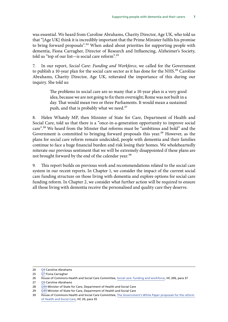was essential. We heard from Caroline Abrahams, Charity Director, Age UK, who told us that "[Age UK] think it is incredibly important that the Prime Minister fulfils his promise to bring forward proposals".24 When asked about priorities for supporting people with dementia, Fiona Carragher, Director of Research and Influencing, Alzheimer's Society, told us "top of our list—is social care reform".25

7. In our report, *Social Care: Funding and Workforce*, we called for the Government to publish a 10-year plan for the social care sector as it has done for the NHS.<sup>26</sup> Caroline Abrahams, Charity Director, Age UK, reiterated the importance of this during our inquiry. She told us:

> The problems in social care are so many that a 10-year plan is a very good idea, because we are not going to fix them overnight; Rome was not built in a day. That would mean two or three Parliaments. It would mean a sustained push, and that is probably what we need.<sup>27</sup>

8. Helen Whately MP, then Minister of State for Care, Department of Health and Social Care, told us that there is a "once-in-a-generation opportunity to improve social care".28 We heard from the Minster that reforms must be "ambitious and bold" and the Government is committed to bringing forward proposals this year.<sup>29</sup> However, as the plans for social care reform remain undecided, people with dementia and their families continue to face a huge financial burden and risk losing their homes. We wholeheartedly reiterate our previous sentiment that we will be extremely disappointed if these plans are not brought forward by the end of the calendar year.<sup>30</sup>

9. This report builds on previous work and recommendations related to the social care system in our recent reports. In Chapter 1, we consider the impact of the current social care funding structure on those living with dementia and explore options for social care funding reform. In Chapter 2, we consider what further action will be required to ensure all those living with dementia receive the personalised and quality care they deserve.

<sup>24</sup> [Q9](https://committees.parliament.uk/oralevidence/2189/html/) Caroline Abrahams

<sup>25</sup>  $\overline{O7}$  Fiona Carragher

<sup>26</sup> House of Commons Health and Social Care Committee, [Social care: funding and workforce,](https://committees.parliament.uk/publications/3120/documents/29193/default/) HC 206, para 37

<sup>27</sup> O9 Caroline Abrahams

<sup>28</sup> [Q49](https://committees.parliament.uk/oralevidence/2240/html/) Minister of State for Care, Department of Health and Social Care

<sup>29</sup> [Q49](https://committees.parliament.uk/oralevidence/2240/html/) Minister of State for Care, Department of Health and Social Care

<sup>30</sup> House of Commons Health and Social Care Committee, [The Government's White Paper proposals for the reform](https://committees.parliament.uk/publications/6158/documents/68766/default/)  [of Health and Social Care,](https://committees.parliament.uk/publications/6158/documents/68766/default/) HC 20, para 55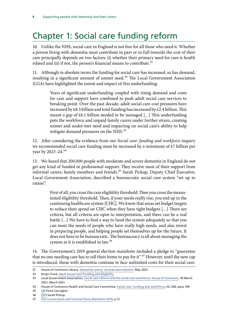# <span id="page-9-0"></span>Chapter 1: Social care funding reform

10. Unlike the NHS, social care in England is not free for all those who need it. Whether a person living with dementia must contribute in part or in full towards the cost of their care principally depends on two factors: (i) whether their primary need for care is health related and (ii) if not, the person's financial means to contribute.<sup>31</sup>

11. Although in absolute terms the funding for social care has increased, so has demand, resulting in a significant amount of unmet need.<sup>32</sup> The Local Government Association (LGA) have highlighted the extent and impact of this underfunding:

> Years of significant underfunding coupled with rising demand and costs for care and support have combined to push adult social care services to breaking point. Over the past decade, adult social care cost pressures have increased by £8.5 billion and total funding has increased by £2.4 billion. This meant a gap of £6.1 billion needed to be managed […] This underfunding puts the workforce and unpaid family carers under further strain, creating unmet and under-met need and impacting on social care's ability to help mitigate demand pressures on the NHS.<sup>33</sup>

12. After considering the evidence from our *Social care: funding and workforce* inquiry we recommended social care funding must be increased by a minimum of  $E7$  billion per year by 2023–24.<sup>34</sup>

13. We heard that 200,000 people with moderate and severe dementia in England do not get any kind of funded or professional support. They receive most of their support from informal carers, family members and friends.<sup>35</sup> Sarah Pickup, Deputy Chief Executive, Local Government Association, described a bureaucratic social care system "set up to ration":

> First of all, you cross the care eligibility threshold. Then you cross the meanstested eligibility threshold. Then, if your needs really rise, you end up in the continuing healthcare system [CHC]. We know that areas set budget targets to reduce their spend on CHC when they have tight budgets […] There are criteria, but all criteria are open to interpretation, and there can be a real battle […] We have to find a way to fund the system adequately so that you can meet the needs of people who have really high needs, and also invest in preparing people, and helping people set themselves up for the future. It does not have to be bureaucratic. The bureaucracy is all about managing the system as it is established in law.36

14. The Government's 2019 general election manifesto included a pledge to "guarantee that no one needing care has to sell their home to pay for it".<sup>37</sup> However, until the new cap is introduced, those with dementia continue to face unlimited costs for their social care.

<sup>31</sup> House of Commons Library, [Dementia: policy, services and statistics](https://researchbriefings.files.parliament.uk/documents/SN07007/SN07007.pdf), May 2021

<sup>32</sup> King's Fund, [Adult Social Care Funding and Eligibility](https://www.kingsfund.org.uk/projects/positions/adult-social-care-funding-and-eligibility)

<sup>33</sup> Local Government Association, [Social care reform and the social care workforce, House of Commons,](https://local.gov.uk/parliament/briefings-and-responses/social-care-reform-and-social-care-workforce-house-commons-18) 18 March 2021, March 2021

<sup>34</sup> House of Commons Health and Social Care Committee, [Social care: funding and workforce,](https://committees.parliament.uk/publications/3120/documents/29193/default/) HC 206, para 104

<sup>35</sup> [Q8](https://committees.parliament.uk/oralevidence/2189/html/) Fiona Carragher

<sup>36</sup> [Q20](https://committees.parliament.uk/oralevidence/2189/html/) Sarah Pickup

<sup>37</sup> [The Conversative and Unionist Party Manifesto 2019](https://www.conservatives.com/our-plan), p.12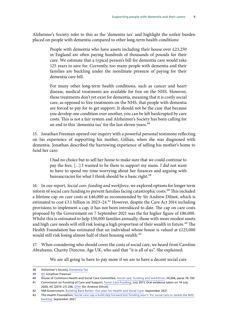Alzheimer's Society refer to this as the 'dementia tax' and highlight the unfair burden placed on people with dementia compared to other long-term health conditions:

> People with dementia who have assets including their house over £23,250 in England are often paying hundreds of thousands of pounds for their care. We estimate that a typical person's bill for dementia care would take 125 years to save for. Currently, too many people with dementia and their families are buckling under the inordinate pressure of paying for their dementia care bill.

> For many other long-term health conditions, such as cancer and heart disease, medical treatments are available for free on the NHS. However, these treatments don't yet exist for dementia, meaning that it is costly social care, as opposed to free treatments on the NHS, that people with dementia are forced to pay for to get support. It should not be the case that because you develop one condition over another, you can be left bankrupted by care costs. This is not a fair system and Alzheimer's Society has been calling for an end to this 'dementia tax' for the last eleven years.<sup>38</sup>

15. Jonathan Freeman opened our inquiry with a powerful personal testimony reflecting on his experience of supporting his mother, Gillian, when she was diagnosed with dementia. Jonathan described the harrowing experience of selling his mother's home to fund her care:

> I had no choice but to sell her home to make sure that we could continue to pay the fees. […] I wanted to be there to support my mum. I did not want to have to spend my time worrying about her finances and arguing with bureaucracies for what I think should be a basic right.<sup>39</sup>

16. In our report, *Social care: funding and workforce*, we explored options for longer term reform of social care funding to prevent families facing catastrophic costs.<sup>40</sup> This included a lifetime cap on care costs at £46,000 as recommended by Sir Andrew Dilnot, which is estimated to cost £3.1 billion in 2023-24.<sup>41</sup> However, despite the Care Act 2014 including provisions to implement a cap, it has not been introduced to date. The cap on care costs proposed by the Government on 7 September 2021 was the far higher figure of £86,000. Whilst this is estimated to help 150,000 families annually, those with more modest assets and high care needs will still risk losing a high proportion of their wealth in future.<sup>42</sup> The Health Foundation has estimated that an individual whose house is valued at £125,000 would still risk losing almost half of their housing wealth.<sup>43</sup>

17. When considering who should cover the costs of social care, we heard from Caroline Abrahams, Charity Director, Age UK, who said that "it is all of us". She explained:

We are all going to have to pay more if we are to have a decent social care

<sup>38</sup> Alzheimer's Society, [Dementia Tax](https://www.alzheimers.org.uk/about-us/policy-and-influencing/what-we-think/dementia-tax)

<sup>39</sup> [Q1](https://committees.parliament.uk/oralevidence/2189/html/) Jonathan Freeman

<sup>40</sup> House of Commons Health and Social Care Committee, [Social care: funding and workforce,](https://committees.parliament.uk/publications/3120/documents/29193/default/) HC206, paras 74–102

<sup>41</sup> Commission on Funding of Care and Support, [Fairer Care Funding](https://webarchive.nationalarchives.gov.uk/20130221121529/https:/www.wp.dh.gov.uk/carecommission/files/2011/07/Fairer-Care-Funding-Report.pdf), July 2011; Oral evidence taken on 14 July 2020, HC (2019–21) 206, [Q141](https://committees.parliament.uk/oralevidence/706/html) [Sir Andrew Dilnot]

<sup>42</sup> HM Government, [Building Back Better: Our plan for Health and Social Care](https://assets.publishing.service.gov.uk/government/uploads/system/uploads/attachment_data/file/1015737/Build_Back_Better-_Our_Plan_for_Health_and_Social_Care_web_accessible.pdf). September 2021

<sup>43</sup> The Health Foundation, [Social care cap a bold step forward but funding won't 'fix' social care or tackle the NHS](https://www.health.org.uk/news-and-comment/news/social-care-cap-a-bold-step-forward-but-funding-wont-fix-social-care)  [backlog](https://www.health.org.uk/news-and-comment/news/social-care-cap-a-bold-step-forward-but-funding-wont-fix-social-care). September 2021.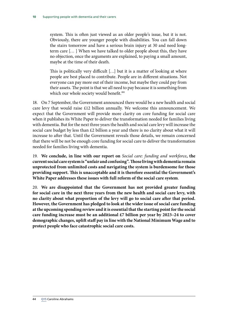system. This is often just viewed as an older people's issue, but it is not. Obviously, there are younger people with disabilities. You can fall down the stairs tomorrow and have a serious brain injury at 30 and need longterm care [… ] When we have talked to older people about this, they have no objection, once the arguments are explained, to paying a small amount, maybe at the time of their death.

This is politically very difficult […] but it is a matter of looking at where people are best placed to contribute. People are in different situations. Not everyone can pay more out of their income, but maybe they could pay from their assets. The point is that we all need to pay because it is something from which our whole society would benefit.<sup>44</sup>

18. On 7 September, the Government announced there would be a new health and social care levy that would raise £12 billion annually. We welcome this announcement. We expect that the Government will provide more clarity on core funding for social care when it publishes its White Paper to deliver the transformation needed for families living with dementia. But for the next three years the health and social care levy will increase the social care budget by less than £2 billion a year and there is no clarity about what it will increase to after that. Until the Government reveals those details, we remain concerned that there will be not be enough core funding for social care to deliver the transformation needed for families living with dementia.

19. **We conclude, in line with our report on** *Social care: funding and workforce***, the current social care system is "unfair and confusing". Those living with dementia remain unprotected from unlimited costs and navigating the system is burdensome for those providing support. This is unacceptable and it is therefore essential the Government's White Paper addresses these issues with full reform of the social care system**.

20. **We are disappointed that the Government has not provided greater funding for social care in the next three years from the new health and social care levy, with no clarity about what proportion of the levy will go to social care after that period. However, the Government has pledged to look at the wider issue of social care funding at the upcoming spending review and it is essential that the starting point for the social care funding increase must be an additional £7 billion per year by 2023–24 to cover demographic changes, uplift staff pay in line with the National Minimum Wage and to protect people who face catastrophic social care costs.**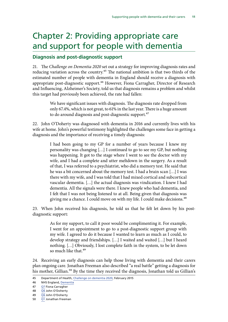# <span id="page-12-0"></span>Chapter 2: Providing appropriate care and support for people with dementia

### **Diagnosis and post-diagnostic support**

21. The *Challenge on Dementia 2020* set out a strategy for improving diagnosis rates and reducing variation across the country.45 The national ambition is that two thirds of the estimated number of people with dementia in England should receive a diagnosis with appropriate post-diagnostic support.<sup>46</sup> However, Fiona Carragher, Director of Research and Influencing, Alzheimer's Society, told us that diagnosis remains a problem and whilst this target had previously been achieved, the rate had fallen:

> We have significant issues with diagnosis. The diagnosis rate dropped from only 67.4%, which is not great, to 61% in the last year. There is a huge amount to do around diagnosis and post-diagnostic support.<sup>47</sup>

22. John O'Doherty was diagnosed with dementia in 2016 and currently lives with his wife at home. John's powerful testimony highlighted the challenges some face in getting a diagnosis and the importance of receiving a timely diagnosis:

> I had been going to my GP for a number of years because I knew my personality was changing […] I continued to go to see my GP, but nothing was happening. It got to the stage where I went to see the doctor with my wife, and I had a complete and utter meltdown in the surgery. As a result of that, I was referred to a psychiatrist, who did a memory test. He said that he was a bit concerned about the memory test. I had a brain scan […] I was there with my wife, and I was told that I had mixed cortical and subcortical vascular dementia. […] the actual diagnosis was vindication. I knew I had dementia. All the signals were there. I knew people who had dementia, and I felt that I was not being listened to at all. Being given that diagnosis was giving me a chance. I could move on with my life. I could make decisions.<sup>48</sup>

23. When John received his diagnosis, he told us that he felt let down by his postdiagnostic support:

> As for my support, to call it poor would be complimenting it. For example, I went for an appointment to go to a post-diagnostic support group with my wife. I agreed to do it because I wanted to learn as much as I could, to develop strategy and friendships. […] I waited and waited […] but I heard nothing. […] Obviously, I lost complete faith in the system, to be let down so much like that.<sup>49</sup>

24. Receiving an early diagnosis can help those living with dementia and their carers plan ongoing care. Jonathan Freeman also described "a real battle" getting a diagnosis for his mother, Gillian.<sup>50</sup> By the time they received the diagnosis, Jonathan told us Gillian's

<sup>45</sup> Department of Health, [Challenge on dementia 2020](https://assets.publishing.service.gov.uk/government/uploads/system/uploads/attachment_data/file/414344/pm-dementia2020.pdf), February 2015

<sup>46</sup> NHS England, [Dementia](https://www.england.nhs.uk/mental-health/dementia/)

<sup>47</sup> [Q7](https://committees.parliament.uk/oralevidence/2189/html/) Fiona Carragher

<sup>48</sup> [Q6](https://committees.parliament.uk/oralevidence/2189/html/) John O'Doherty

<sup>49</sup> [Q6](https://committees.parliament.uk/oralevidence/2189/html/) John O'Doherty

<sup>50</sup> [Q1](https://committees.parliament.uk/oralevidence/2189/html/) Jonathan Freeman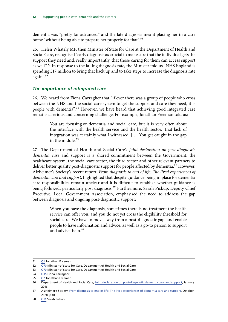<span id="page-13-0"></span>dementia was "pretty far advanced" and the late diagnosis meant placing her in a care home "without being able to prepare her properly for that".<sup>51</sup>

25. Helen Whately MP, then Minister of State for Care at the Department of Health and Social Care, recognised "early diagnosis as crucial to make sure that the individual gets the support they need and, really importantly, that those caring for them can access support as well".52 In response to the falling diagnosis rate, the Minister told us "NHS England is spending £17 million to bring that back up and to take steps to increase the diagnosis rate again".<sup>53</sup>

#### *The importance of integrated care*

26. We heard from Fiona Carragher that "if ever there was a group of people who cross between the NHS and the social care system to get the support and care they need, it is people with dementia".<sup>54</sup> However, we have heard that achieving good integrated care remains a serious and concerning challenge. For example, Jonathan Freeman told us:

> You are focusing on dementia and social care, but it is very often about the interface with the health service and the health sector. That lack of integration was certainly what I witnessed. […] You get caught in the gap in the middle.<sup>55</sup>

27. The Department of Health and Social Care's *Joint declaration on post-diagnostic dementia care* and support is a shared commitment between the Government, the healthcare system, the social care sector, the third sector and other relevant partners to deliver better quality post-diagnostic support for people affected by dementia.<sup>56</sup> However, Alzheimer's Society's recent report, *From diagnosis to end of life: The lived experiences of dementia care and support*, highlighted that despite guidance being in place for dementia care responsibilities remain unclear and it is difficult to establish whether guidance is being followed, particularly post diagnosis.<sup>57</sup> Furthermore, Sarah Pickup, Deputy Chief Executive, Local Government Association, emphasised the need to address the gap between diagnosis and ongoing post-diagnostic support:

> When you have the diagnosis, sometimes there is no treatment the health service can offer you, and you do not yet cross the eligibility threshold for social care. We have to move away from a post-diagnostic gap, and enable people to have information and advice, as well as a go-to person to support and advise them.58

<sup>51</sup> [Q1](https://committees.parliament.uk/oralevidence/2189/html/) Jonathan Freeman

<sup>52</sup> [Q70](https://committees.parliament.uk/oralevidence/2240/html/) Minister of State for Care, Department of Health and Social Care

<sup>53</sup> [Q70](https://committees.parliament.uk/oralevidence/2240/html/) Minister of State for Care, Department of Health and Social Care

<sup>54</sup> [Q35](https://committees.parliament.uk/oralevidence/2189/html/) Fiona Carragher

<sup>55</sup> [Q2](https://committees.parliament.uk/oralevidence/2189/html/) Jonathan Freeman

<sup>56</sup> Department of Health and Social Care, [Joint declaration on post-diagnostic dementia care and support,](https://www.gov.uk/government/publications/dementia-post-diagnostic-care-and-support/dementia-post-diagnostic-care-and-support) January 2016

<sup>57</sup> Alzheimer's Society, [From diagnosis to end of life: The lived experiences of dementia care and support,](https://www.alzheimers.org.uk/sites/default/files/2020-10/pathway_report_full_final.pdf) October 2020, p.10

<sup>58</sup> [Q11](https://committees.parliament.uk/oralevidence/2189/html/) Sarah Pickup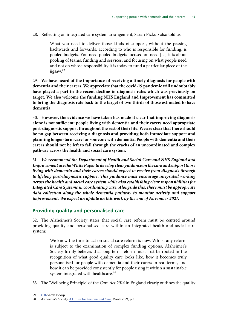<span id="page-14-0"></span>28. Reflecting on integrated care system arrangement, Sarah Pickup also told us:

What you need to deliver those kinds of support, without the passing backwards and forwards, according to who is responsible for funding, is pooled budgets. You need pooled budgets focused on need […] it is about pooling of teams, funding and services, and focusing on what people need and not on whose responsibility it is today to fund a particular piece of the jigsaw.59

29. **We have heard of the importance of receiving a timely diagnosis for people with dementia and their carers. We appreciate that the covid-19 pandemic will undoubtably have played a part in the recent decline in diagnosis rates which was previously on target. We also welcome the funding NHS England and Improvement has committed to bring the diagnosis rate back to the target of two thirds of those estimated to have dementia.**

30. **However, the evidence we have taken has made it clear that improving diagnosis alone is not sufficient: people living with dementia and their carers need appropriate post-diagnostic support throughout the rest of their life. We are clear that there should be no gap between receiving a diagnosis and providing both immediate support and planning longer-term care for someone with dementia. People with dementia and their carers should not be left to fall through the cracks of an uncoordinated and complex pathway across the health and social care system.**

31. *We recommend the Department of Health and Social Care and NHS England and Improvement use the White Paper to develop clear guidance on the care and support those living with dementia and their carers should expect to receive from diagnosis through to lifelong post-diagnostic support. This guidance must encourage integrated working across the health and social care system while also establishing clear responsibilities for Integrated Care Systems in coordinating care. Alongside this, there must be appropriate*  data collection along the whole dementia pathway to monitor activity and support *improvement. We expect an update on this work by the end of November 2021.*

### **Providing quality and personalised care**

32. The Alzheimer's Society states that social care reform must be centred around providing quality and personalised care within an integrated health and social care system:

> We know the time to act on social care reform is now. Whilst any reform is subject to the examination of complex funding options, Alzheimer's Society firmly believes that long term reform must first be rooted in the recognition of what good quality care looks like, how it becomes truly personalised for people with dementia and their carers in real terms, and how it can be provided consistently for people using it within a sustainable system integrated with healthcare.<sup>60</sup>

33. The 'Wellbeing Principle' of the *Care Act 2014* in England clearly outlines the quality

<sup>59</sup> [Q36](https://committees.parliament.uk/oralevidence/2189/html/) Sarah Pickup

<sup>60</sup> Alzheimer's Society, [A Future for Personalised Care,](https://www.alzheimers.org.uk/sites/default/files/2021-03/A%2520Future%2520for%2520Personalised%2520Care.pdf) March 2021, p.3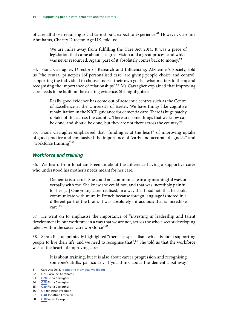<span id="page-15-0"></span>of care all those requiring social care should expect to experience.<sup>61</sup> However, Caroline Abrahams, Charity Director, Age UK, told us:

> We are miles away from fulfilling the Care Act 2014. It was a piece of legislation that came about as a great vision and a great process and which was never resourced. Again, part of it absolutely comes back to money.<sup>62</sup>

34. Fiona Carragher, Director of Research and Influencing, Alzheimer's Society, told us "the central principles [of personalised care] are giving people choice and control; supporting the individual to choose and set their own goals—what matters to them; and recognising the importance of relationships".<sup>63</sup> Ms Carragher explained that improving care needs to be built on the existing evidence. She highlighted:

> Really good evidence has come out of academic centres such as the Centre of Excellence at the University of Exeter. We have things like cognitive rehabilitation in the NICE guidance for dementia care. There is huge patchy uptake of this across the country. There are some things that we know can be done, and should be done, but they are not there across the country.<sup>64</sup>

35. Fiona Carragher emphasised that "funding is at the heart" of improving uptake of good practice and emphasised the importance of "early and accurate diagnosis" and "workforce training".65

### *Workforce and training*

36. We heard from Jonathan Freeman about the difference having a supportive carer who understood his mother's needs meant for her care:

> Dementia is so cruel. She could not communicate in any meaningful way, or verbally with me. She knew she could not, and that was incredibly painful for her […] One young carer realised, in a way that I had not, that he could communicate with mum in French because foreign language is stored in a different part of the brain. It was absolutely miraculous; that is incredible care.<sup>66</sup>

37. He went on to emphasise the importance of "investing in leadership and talent development in our workforce in a way that we are not, across the whole sector developing talent within the social care workforce".<sup>67</sup>

38. Sarah Pickup pointedly highlighted "there is a specialism, which is about supporting people to live their life, and we need to recognise that".<sup>68</sup> She told us that the workforce was 'at the heart' of improving care:

> It is about training, but it is also about career progression and recognising someone's skills, particularly if you think about the dementia pathway.

<sup>61</sup> Care Act 2014, [Promoting individual wellbeing](https://www.legislation.gov.uk/ukpga/2014/23/section/1/enacted)

<sup>62</sup> [Q27](https://committees.parliament.uk/oralevidence/2189/html/) Caroline Abrahams

<sup>63</sup> [Q28](https://committees.parliament.uk/oralevidence/2189/html/) Fiona Carragher

<sup>64</sup> [Q28](https://committees.parliament.uk/oralevidence/2189/html/) Fiona Carragher

<sup>65</sup> [Q29](https://committees.parliament.uk/oralevidence/2189/html/) Fiona Carragher

<sup>66</sup> [Q1](https://committees.parliament.uk/oralevidence/2189/html/) Jonathan Freeman

<sup>67</sup> [Q48](https://committees.parliament.uk/oralevidence/2189/html/) Jonathan Freeman

<sup>68</sup> [Q30](https://committees.parliament.uk/oralevidence/2189/html/) Sarah Pickup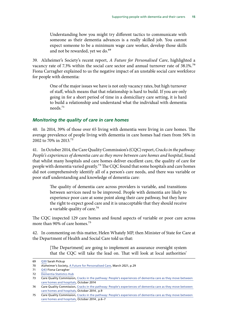<span id="page-16-0"></span>Understanding how you might try different tactics to communicate with someone as their dementia advances is a really skilled job. You cannot expect someone to be a minimum wage care worker, develop those skills and not be rewarded, yet we do.<sup>69</sup>

39. Alzheimer's Society's recent report, *A Future for Personalised Care*, highlighted a vacancy rate of 7.3% within the social care sector and annual turnover rate of 38.1%.70 Fiona Carragher explained to us the negative impact of an unstable social care workforce for people with dementia:

> One of the major issues we have is not only vacancy rates, but high turnover of staff, which means that that relationship is hard to build. If you are only going in for a short period of time in a domiciliary care setting, it is hard to build a relationship and understand what the individual with dementia needs.71

### *Monitoring the quality of care in care homes*

40. In 2014, 39% of those over 65 living with dementia were living in care homes. The average prevalence of people living with dementia in care homes had risen from 56% in 2002 to 70% in 2013.<sup>72</sup>

41. In October 2014, the Care Quality Commission's (CQC) report, *Cracks in the pathway: People's experiences of dementia care as they move between care homes and hospital*, found that whilst many hospitals and care homes deliver excellent care, the quality of care for people with dementia varied greatly.<sup>73</sup> The CQC found that some hospitals and care homes did not comprehensively identify all of a person's care needs, and there was variable or poor staff understanding and knowledge of dementia care:

> The quality of dementia care across providers is variable, and transitions between services need to be improved. People with dementia are likely to experience poor care at some point along their care pathway, but they have the right to expect good care and it is unacceptable that they should receive a variable quality of care.<sup>74</sup>

The CQC inspected 129 care homes and found aspects of variable or poor care across more than 90% of care homes.<sup>75</sup>

42. In commenting on this matter, Helen Whately MP, then Minister of State for Care at the Department of Health and Social Care told us that:

> [The Department] are going to implement an assurance oversight system that the CQC will take the lead on. That will look at local authorities'

<sup>69</sup> [Q30](https://committees.parliament.uk/oralevidence/2189/html/) Sarah Pickup

<sup>70</sup> Alzheimer's Society, [A Future for Personalised Care,](https://www.alzheimers.org.uk/sites/default/files/2021-03/A%2520Future%2520for%2520Personalised%2520Care.pdf) March 2021, p.29

<sup>71</sup> [Q43](https://committees.parliament.uk/oralevidence/2189/html/) Fiona Carragher

<sup>72</sup> Dementia Statistics Hub

<sup>73</sup> Care Quality Commission, Cracks in the pathway: People's experiences of dementia care as they move between [care homes and hospitals](https://www.cqc.org.uk/sites/default/files/20141009_cracks_in_the_pathway_final_0.pdf), October 2014

<sup>74</sup> Care Quality Commission, [Cracks in the pathway: People's experiences of dementia care as they move between](https://www.cqc.org.uk/sites/default/files/20141009_cracks_in_the_pathway_final_0.pdf)  [care homes and hospitals](https://www.cqc.org.uk/sites/default/files/20141009_cracks_in_the_pathway_final_0.pdf), October 2014 , p.9

<sup>75</sup> Care Quality Commission, [Cracks in the pathway: People's experiences of dementia care as they move between](https://www.cqc.org.uk/sites/default/files/20141009_cracks_in_the_pathway_final_0.pdf)  [care homes and hospitals](https://www.cqc.org.uk/sites/default/files/20141009_cracks_in_the_pathway_final_0.pdf), October 2014 , p.6–7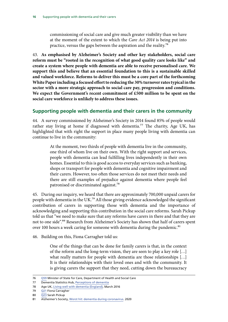<span id="page-17-0"></span>commissioning of social care and give much greater visibility than we have at the moment of the extent to which the *Care Act 2014* is being put into practice, versus the gaps between the aspiration and the reality.76

43. **As emphasised by Alzheimer's Society and other key stakeholders, social care reform must be "rooted in the recognition of what good quality care looks like" and create a system where people with dementia are able to receive personalised care. We support this and believe that an essential foundation to this is a sustainable skilled and valued workforce. Reforms to deliver this must be a core part of the forthcoming White Paper including a focused effort to reducing the 30% turnover rates typical in the sector with a more strategic approach to social care pay, progression and conditions. We expect the Government's recent commitment of £500 million to be spent on the social care workforce is unlikely to address these issues.**

### **Supporting people with dementia and their carers in the community**

44. A survey commissioned by Alzheimer's Society in 2014 found 85% of people would rather stay living at home if diagnosed with dementia.<sup>77</sup> The charity, Age UK, has highlighted that with right the support in place many people living with dementia can continue to live in the community:

> At the moment, two thirds of people with dementia live in the community, one third of whom live on their own. With the right support and services, people with dementia can lead fulfilling lives independently in their own homes. Essential to this is good access to everyday services such as banking, shops or transport for people with dementia and cognitive impairment and their carers. However, too often those services do not meet their needs and there are still examples of prejudice against dementia where people feel patronised or discriminated against.78

45. During our inquiry, we heard that there are approximately 700,000 unpaid carers for people with dementia in the UK.79 All those giving evidence acknowledged the significant contribution of carers in supporting those with dementia and the importance of acknowledging and supporting this contribution in the social care reforms. Sarah Pickup told us that "we need to make sure that any reforms have carers in there and that they are not to one side".<sup>80</sup> Research from Alzheimer's Society has shown that half of carers spent over 100 hours a week caring for someone with dementia during the pandemic.<sup>81</sup>

46. Building on this, Fiona Carragher told us:

One of the things that can be done for family carers is that, in the context of the reform and the long-term vision, they are seen to play a key role […] what really matters for people with dementia are those relationships […] It is their relationships with their loved ones and with the community. It is giving carers the support that they need, cutting down the bureaucracy

<sup>76</sup> [Q59](https://committees.parliament.uk/oralevidence/2240/html/) Minister of State for Care, Department of Health and Social Care

<sup>77</sup> Dementia Statistics Hub, [Perceptions of dementia](https://www.dementiastatistics.org/statistics/perceptions-of-dementia/)

<sup>78</sup> Age UK, [Living well with dementia \(England\)](https://www.ageuk.org.uk/globalassets/age-uk/documents/policy-positions/health-and-wellbeing/ppp_living_well_with_dementia_england_.pdf), March 2016

<sup>79</sup> [Q21](https://committees.parliament.uk/oralevidence/2189/html/) Fiona Carragher

<sup>80</sup> [Q23](https://committees.parliament.uk/oralevidence/2189/html/) Sarah Pickup

<sup>81</sup> Alzheimer's Society, [Worst hit: dementia during coronavirus](https://www.alzheimers.org.uk/news/2020-10-05/exhausted-family-and-friends-spent-92-million-extra-hours-caring-loved-ones.). 2020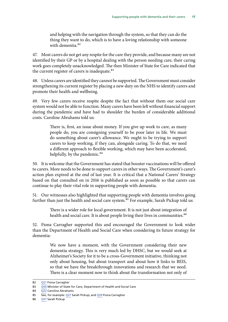and helping with the navigation through the system, so that they can do the thing they want to do, which is to have a loving relationship with someone with dementia<sup>82</sup>

47. Most carers do not get any respite for the care they provide, and because many are not identified by their GP or by a hospital dealing with the person needing care, their caring work goes completely unacknowledged. The then Minister of State for Care indicated that the current register of carers is inadequate.<sup>83</sup>

48. Unless carers are identified they cannot be supported. The Government must consider strengthening its current register by placing a new duty on the NHS to identify carers and promote their health and wellbeing.

49. Very few carers receive respite despite the fact that without them our social care system would not be able to function. Many carers have been left without financial support during the pandemic and have had to shoulder the burden of considerable additional costs. Caroline Abrahams told us:

> There is, first, an issue about money. If you give up work to care, as many people do, you are consigning yourself to be poor later in life. We must do something about carer's allowance. We ought to be trying to support carers to keep working, if they can, alongside caring. To do that, we need a different approach to flexible working, which may have been accelerated, helpfully, by the pandemic.<sup>84</sup>

50. It is welcome that the Government has stated that booster vaccinations will be offered to carers. More needs to be done to support carers in other ways. The Government's carer's action plan expired at the end of last year. It is critical that a National Carers' Strategy based on that consulted on in 2016 is published as soon as possible so that carers can continue to play their vital role in supporting people with dementia.

51. Our witnesses also highlighted that supporting people with dementia involves going further than just the health and social care system.<sup>85</sup> For example, Sarah Pickup told us:

> There is a wider role for local government. It is not just about integration of health and social care. It is about people living their lives in communities.<sup>86</sup>

52. Fiona Carragher supported this and encouraged the Government to look wider than the Department of Health and Social Care when considering its future strategy for dementia:

> We now have a moment, with the Government considering their new dementia strategy. This is very much led by DHSC, but we would seek at Alzheimer's Society for it to be a cross-Government initiative, thinking not only about housing, but about transport and about how it links to BEIS, so that we have the breakthrough innovations and research that we need. There is a clear moment now to think about the transformation not only of

<sup>82</sup> O21 Fiona Carragher

<sup>83</sup> [Q50](https://committees.parliament.uk/oralevidence/2240/html/) Minister of State for Care, Department of Health and Social Care

<sup>84</sup> [Q22](https://committees.parliament.uk/oralevidence/2189/pdf/) Caroline Abrahams

<sup>85</sup> See, for example: [Q37](https://committees.parliament.uk/oralevidence/2189/html/) Sarah Pickup; and [Q39](https://committees.parliament.uk/oralevidence/2189/html/) Fiona Carragher

<sup>86</sup> [Q37](https://committees.parliament.uk/oralevidence/2189/html/) Sarah Pickup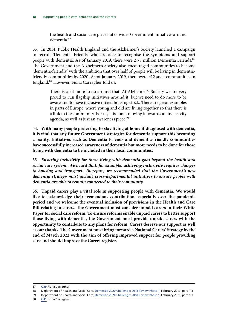the health and social care piece but of wider Government initiatives around dementia.87

53. In 2014, Public Health England and the Alzheimer's Society launched a campaign to recruit 'Dementia Friends' who are able to recognise the symptoms and support people with dementia. As of January 2019, there were 2.78 million Dementia Friends.<sup>88</sup> The Government and the Alzheimer's Society also encouraged communities to become 'dementia-friendly' with the ambition that over half of people will be living in dementiafriendly communities by 2020. As of January 2019, there were 412 such communities in England.89 However, Fiona Carragher told us:

> There is a lot more to do around that. At Alzheimer's Society we are very proud to run flagship initiatives around it, but we need to do more to be aware and to have inclusive mixed housing stock. There are great examples in parts of Europe, where young and old are living together so that there is a link to the community. For us, it is about moving it towards an inclusivity agenda, as well as just an awareness piece.<sup>90</sup>

54. **With many people preferring to stay living at home if diagnosed with dementia, it is vital that any future Government strategies for dementia support this becoming a reality. Initiatives such as Dementia Friends and dementia-friendly communities have successfully increased awareness of dementia but more needs to be done for those living with dementia to be included in their local communities.**

55. *Ensuring inclusivity for those living with dementia goes beyond the health and social care system. We heard that, for example, achieving inclusivity requires changes to housing and transport. Therefore, we recommended that the Government's new dementia strategy must include cross-departmental initiatives to ensure people with dementia are able to remain connected to their community.*

56. **Unpaid carers play a vital role in supporting people with dementia. We would like to acknowledge their tremendous contribution, especially over the pandemic period and we welcome the eventual inclusion of provisions in the Health and Care Bill relating to carers. The Government must consider unpaid carers in their White Paper for social care reform. To ensure reforms enable unpaid carers to better support those living with dementia, the Government must provide unpaid carers with the opportunity to contribute to any plans for reform. Carers deserve our support as well as our thanks. The Government must bring forward a National Carers' Strategy by the end of March 2022 with the aim of offering improved support for people providing care and should improve the Carers register.**

- 87 [Q39](https://committees.parliament.uk/oralevidence/2189/html/) Fiona Carragher
- 88 Department of Health and Social Care, [Dementia 2020 Challenge: 2018 Review Phase 1,](https://assets.publishing.service.gov.uk/government/uploads/system/uploads/attachment_data/file/780777/dementia-2020-challenge-2018-review.pdf) February 2019, para 1.3
- 89 Department of Health and Social Care, [Dementia 2020 Challenge: 2018 Review Phase 1,](https://assets.publishing.service.gov.uk/government/uploads/system/uploads/attachment_data/file/780777/dementia-2020-challenge-2018-review.pdf) February 2019, para 1.3
- 90 [Q41](https://committees.parliament.uk/oralevidence/2189/html/) Fiona Carragher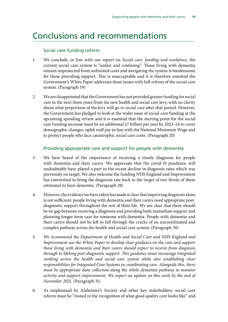### <span id="page-20-0"></span>Conclusions and recommendations

#### Social care funding reform

- 1. We conclude, in line with our report on *Social care: funding and workforce*, the current social care system is "unfair and confusing". Those living with dementia remain unprotected from unlimited costs and navigating the system is burdensome for those providing support. This is unacceptable and it is therefore essential the Government's White Paper addresses these issues with full reform of the social care system. (Paragraph 19)
- 2. We are disappointed that the Government has not provided greater funding for social care in the next three years from the new health and social care levy, with no clarity about what proportion of the levy will go to social care after that period. However, the Government has pledged to look at the wider issue of social care funding at the upcoming spending review and it is essential that the starting point for the social care funding increase must be an additional £7 billion per year by 2023–24 to cover demographic changes, uplift staff pay in line with the National Minimum Wage and to protect people who face catastrophic social care costs. (Paragraph 20)

#### Providing appropriate care and support for people with dementia

- 3. We have heard of the importance of receiving a timely diagnosis for people with dementia and their carers. We appreciate that the covid-19 pandemic will undoubtably have played a part in the recent decline in diagnosis rates which was previously on target. We also welcome the funding NHS England and Improvement has committed to bring the diagnosis rate back to the target of two thirds of those estimated to have dementia. (Paragraph 29)
- 4. However, the evidence we have taken has made it clear that improving diagnosis alone is not sufficient: people living with dementia and their carers need appropriate postdiagnostic support throughout the rest of their life. We are clear that there should be no gap between receiving a diagnosis and providing both immediate support and planning longer-term care for someone with dementia. People with dementia and their carers should not be left to fall through the cracks of an uncoordinated and complex pathway across the health and social care system. (Paragraph 30)
- 5. *We recommend the Department of Health and Social Care and NHS England and Improvement use the White Paper to develop clear guidance on the care and support those living with dementia and their carers should expect to receive from diagnosis through to lifelong post-diagnostic support. This guidance must encourage integrated*  working across the health and social care system while also establishing clear *responsibilities for Integrated Care Systems in coordinating care. Alongside this, there must be appropriate data collection along the whole dementia pathway to monitor activity and support improvement. We expect an update on this work by the end of November 2021.* (Paragraph 31)
- 6. As emphasised by Alzheimer's Society and other key stakeholders, social care reform must be "rooted in the recognition of what good quality care looks like" and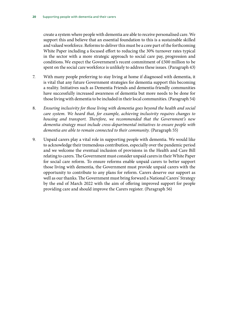create a system where people with dementia are able to receive personalised care. We support this and believe that an essential foundation to this is a sustainable skilled and valued workforce. Reforms to deliver this must be a core part of the forthcoming White Paper including a focused effort to reducing the 30% turnover rates typical in the sector with a more strategic approach to social care pay, progression and conditions. We expect the Government's recent commitment of £500 million to be spent on the social care workforce is unlikely to address these issues. (Paragraph 43)

- 7. With many people preferring to stay living at home if diagnosed with dementia, it is vital that any future Government strategies for dementia support this becoming a reality. Initiatives such as Dementia Friends and dementia-friendly communities have successfully increased awareness of dementia but more needs to be done for those living with dementia to be included in their local communities. (Paragraph 54)
- 8. *Ensuring inclusivity for those living with dementia goes beyond the health and social care system. We heard that, for example, achieving inclusivity requires changes to housing and transport. Therefore, we recommended that the Government's new dementia strategy must include cross-departmental initiatives to ensure people with dementia are able to remain connected to their community.* (Paragraph 55)
- 9. Unpaid carers play a vital role in supporting people with dementia. We would like to acknowledge their tremendous contribution, especially over the pandemic period and we welcome the eventual inclusion of provisions in the Health and Care Bill relating to carers. The Government must consider unpaid carers in their White Paper for social care reform. To ensure reforms enable unpaid carers to better support those living with dementia, the Government must provide unpaid carers with the opportunity to contribute to any plans for reform. Carers deserve our support as well as our thanks. The Government must bring forward a National Carers' Strategy by the end of March 2022 with the aim of offering improved support for people providing care and should improve the Carers register. (Paragraph 56)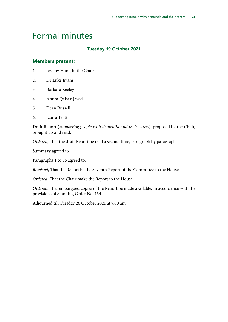# <span id="page-22-0"></span>Formal minutes

### **Tuesday 19 October 2021**

### **Members present:**

- 1. Jeremy Hunt, in the Chair
- 2. Dr Luke Evans
- 3. Barbara Keeley
- 4. Anum Qaisar-Javed
- 5. Dean Russell
- 6. Laura Trott

Draft Report (*Supporting people with dementia and their carers*), proposed by the Chair, brought up and read.

*Ordered*, That the draft Report be read a second time, paragraph by paragraph.

Summary agreed to.

Paragraphs 1 to 56 agreed to.

*Resolved*, That the Report be the Seventh Report of the Committee to the House.

*Ordered*, That the Chair make the Report to the House.

*Ordered*, That embargoed copies of the Report be made available, in accordance with the provisions of Standing Order No. 134.

Adjourned till Tuesday 26 October 2021 at 9.00 am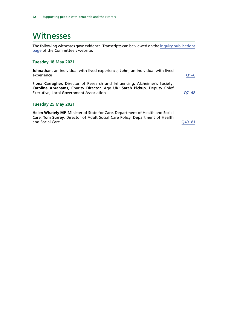### <span id="page-23-0"></span>Witnesses

The following witnesses gave evidence. Transcripts can be viewed on the [inquiry publications](https://committees.parliament.uk/work/1231/default/publications/oral-evidence/) [page](https://committees.parliament.uk/work/1231/default/publications/oral-evidence/) of the Committee's website.

#### **Tuesday 18 May 2021**

**Johnathan,** an individual with lived experience; **John**, an individual with lived experience [Q1–6](https://committees.parliament.uk/oralevidence/2189/html/)

**Fiona Carragher**, Director of Research and Influencing, Alzheimer's Society; **Caroline Abrahams**, Charity Director, Age UK; **Sarah Pickup**, Deputy Chief Executive, Local Government Association [Q7–48](https://committees.parliament.uk/oralevidence/2189/html/)

#### **Tuesday 25 May 2021**

**Helen Whately MP**, Minister of State for Care, Department of Health and Social Care; **Tom Surrey**, Director of Adult Social Care Policy, Department of Health and Social Care [Q49–81](https://committees.parliament.uk/oralevidence/2240/html/)